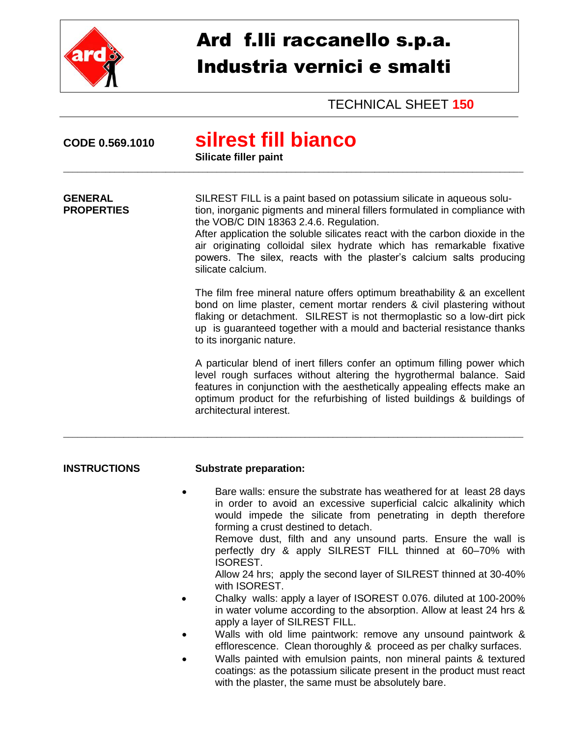

# Ard f.lli raccanello s.p.a. Industria vernici e smalti

TECHNICAL SHEET **150**

| CODE 0.569.1010                     | silrest fill bianco<br>Silicate filler paint                                                                                                                                                                                                                                                                                                                                                                                                                                                                                                                                                                                                                                                                                                                                                                                                                                                                                                                                                                      |
|-------------------------------------|-------------------------------------------------------------------------------------------------------------------------------------------------------------------------------------------------------------------------------------------------------------------------------------------------------------------------------------------------------------------------------------------------------------------------------------------------------------------------------------------------------------------------------------------------------------------------------------------------------------------------------------------------------------------------------------------------------------------------------------------------------------------------------------------------------------------------------------------------------------------------------------------------------------------------------------------------------------------------------------------------------------------|
| <b>GENERAL</b><br><b>PROPERTIES</b> | SILREST FILL is a paint based on potassium silicate in aqueous solu-<br>tion, inorganic pigments and mineral fillers formulated in compliance with<br>the VOB/C DIN 18363 2.4.6. Regulation.<br>After application the soluble silicates react with the carbon dioxide in the<br>air originating colloidal silex hydrate which has remarkable fixative<br>powers. The silex, reacts with the plaster's calcium salts producing<br>silicate calcium.                                                                                                                                                                                                                                                                                                                                                                                                                                                                                                                                                                |
|                                     | The film free mineral nature offers optimum breathability & an excellent<br>bond on lime plaster, cement mortar renders & civil plastering without<br>flaking or detachment. SILREST is not thermoplastic so a low-dirt pick<br>up is guaranteed together with a mould and bacterial resistance thanks<br>to its inorganic nature.                                                                                                                                                                                                                                                                                                                                                                                                                                                                                                                                                                                                                                                                                |
|                                     | A particular blend of inert fillers confer an optimum filling power which<br>level rough surfaces without altering the hygrothermal balance. Said<br>features in conjunction with the aesthetically appealing effects make an<br>optimum product for the refurbishing of listed buildings & buildings of<br>architectural interest.                                                                                                                                                                                                                                                                                                                                                                                                                                                                                                                                                                                                                                                                               |
| <b>INSTRUCTIONS</b>                 | <b>Substrate preparation:</b>                                                                                                                                                                                                                                                                                                                                                                                                                                                                                                                                                                                                                                                                                                                                                                                                                                                                                                                                                                                     |
|                                     | Bare walls: ensure the substrate has weathered for at least 28 days<br>in order to avoid an excessive superficial calcic alkalinity which<br>would impede the silicate from penetrating in depth therefore<br>forming a crust destined to detach.<br>Remove dust, filth and any unsound parts. Ensure the wall is<br>perfectly dry & apply SILREST FILL thinned at 60-70% with<br><b>ISOREST.</b><br>Allow 24 hrs; apply the second layer of SILREST thinned at 30-40%<br>with ISOREST.<br>Chalky walls: apply a layer of ISOREST 0.076. diluted at 100-200%<br>in water volume according to the absorption. Allow at least 24 hrs &<br>apply a layer of SILREST FILL.<br>Walls with old lime paintwork: remove any unsound paintwork &<br>efflorescence. Clean thoroughly & proceed as per chalky surfaces.<br>Walls painted with emulsion paints, non mineral paints & textured<br>coatings: as the potassium silicate present in the product must react<br>with the plaster, the same must be absolutely bare. |